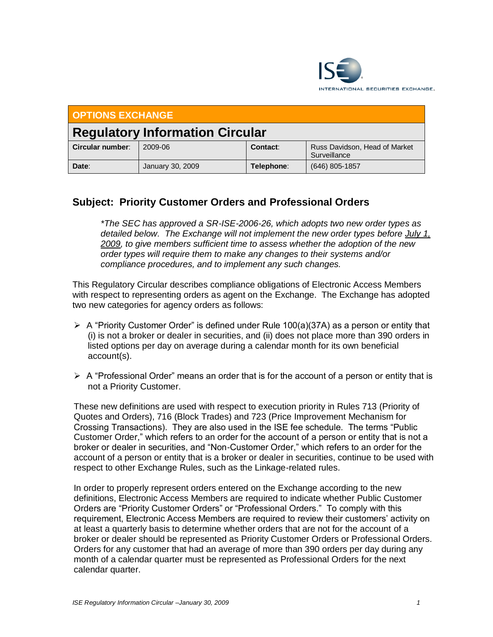

| <b>OPTIONS EXCHANGE</b>                |                  |            |                                               |
|----------------------------------------|------------------|------------|-----------------------------------------------|
| <b>Regulatory Information Circular</b> |                  |            |                                               |
| Circular number:                       | 2009-06          | Contact:   | Russ Davidson, Head of Market<br>Surveillance |
| Date:                                  | January 30, 2009 | Telephone: | (646) 805-1857                                |

## **Subject: Priority Customer Orders and Professional Orders**

*\*The SEC has approved a SR-ISE-2006-26, which adopts two new order types as detailed below. The Exchange will not implement the new order types before July 1, 2009, to give members sufficient time to assess whether the adoption of the new order types will require them to make any changes to their systems and/or compliance procedures, and to implement any such changes.*

This Regulatory Circular describes compliance obligations of Electronic Access Members with respect to representing orders as agent on the Exchange. The Exchange has adopted two new categories for agency orders as follows:

- $\triangleright$  A "Priority Customer Order" is defined under Rule 100(a)(37A) as a person or entity that (i) is not a broker or dealer in securities, and (ii) does not place more than 390 orders in listed options per day on average during a calendar month for its own beneficial account(s).
- $\triangleright$  A "Professional Order" means an order that is for the account of a person or entity that is not a Priority Customer.

These new definitions are used with respect to execution priority in Rules 713 (Priority of Quotes and Orders), 716 (Block Trades) and 723 (Price Improvement Mechanism for Crossing Transactions). They are also used in the ISE fee schedule. The terms "Public Customer Order," which refers to an order for the account of a person or entity that is not a broker or dealer in securities, and "Non-Customer Order," which refers to an order for the account of a person or entity that is a broker or dealer in securities, continue to be used with respect to other Exchange Rules, such as the Linkage-related rules.

In order to properly represent orders entered on the Exchange according to the new definitions, Electronic Access Members are required to indicate whether Public Customer Orders are "Priority Customer Orders" or "Professional Orders." To comply with this requirement, Electronic Access Members are required to review their customers' activity on at least a quarterly basis to determine whether orders that are not for the account of a broker or dealer should be represented as Priority Customer Orders or Professional Orders. Orders for any customer that had an average of more than 390 orders per day during any month of a calendar quarter must be represented as Professional Orders for the next calendar quarter.